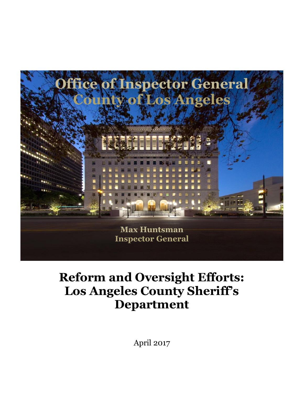

# **Reform and Oversight Efforts: Los Angeles County Sheriff's Department**

April 2017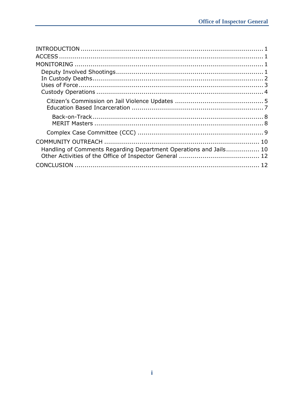| Handling of Comments Regarding Department Operations and Jails 10 |  |
|-------------------------------------------------------------------|--|
|                                                                   |  |
|                                                                   |  |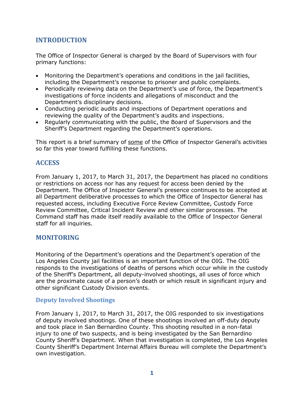# **INTRODUCTION**

The Office of Inspector General is charged by the Board of Supervisors with four primary functions:

- Monitoring the Department's operations and conditions in the jail facilities, including the Department's response to prisoner and public complaints.
- Periodically reviewing data on the Department's use of force, the Department's investigations of force incidents and allegations of misconduct and the Department's disciplinary decisions.
- Conducting periodic audits and inspections of Department operations and reviewing the quality of the Department's audits and inspections.
- Regularly communicating with the public, the Board of Supervisors and the Sheriff's Department regarding the Department's operations.

This report is a brief summary of some of the Office of Inspector General's activities so far this year toward fulfilling these functions.

# **ACCESS**

From January 1, 2017, to March 31, 2017, the Department has placed no conditions or restrictions on access nor has any request for access been denied by the Department. The Office of Inspector General's presence continues to be accepted at all Department deliberative processes to which the Office of Inspector General has requested access, including Executive Force Review Committee, Custody Force Review Committee, Critical Incident Review and other similar processes. The Command staff has made itself readily available to the Office of Inspector General staff for all inquiries.

# **MONITORING**

Monitoring of the Department's operations and the Department's operation of the Los Angeles County jail facilities is an important function of the OIG. The OIG responds to the investigations of deaths of persons which occur while in the custody of the Sheriff's Department, all deputy-involved shootings, all uses of force which are the proximate cause of a person's death or which result in significant injury and other significant Custody Division events.

# **Deputy Involved Shootings**

From January 1, 2017, to March 31, 2017, the OIG responded to six investigations of deputy involved shootings. One of these shootings involved an off-duty deputy and took place in San Bernardino County. This shooting resulted in a non-fatal injury to one of two suspects, and is being investigated by the San Bernardino County Sheriff's Department. When that investigation is completed, the Los Angeles County Sheriff's Department Internal Affairs Bureau will complete the Department's own investigation.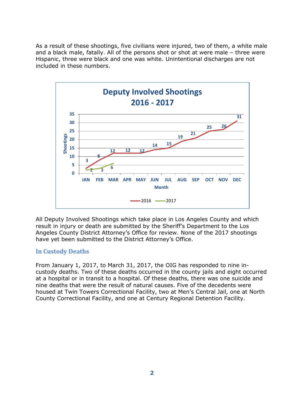As a result of these shootings, five civilians were injured, two of them, a white male and a black male, fatally. All of the persons shot or shot at were male – three were Hispanic, three were black and one was white. Unintentional discharges are not included in these numbers.



All Deputy Involved Shootings which take place in Los Angeles County and which result in injury or death are submitted by the Sheriff's Department to the Los Angeles County District Attorney's Office for review. None of the 2017 shootings have yet been submitted to the District Attorney's Office.

# **In Custody Deaths**

From January 1, 2017, to March 31, 2017, the OIG has responded to nine incustody deaths. Two of these deaths occurred in the county jails and eight occurred at a hospital or in transit to a hospital. Of these deaths, there was one suicide and nine deaths that were the result of natural causes. Five of the decedents were housed at Twin Towers Correctional Facility, two at Men's Central Jail, one at North County Correctional Facility, and one at Century Regional Detention Facility.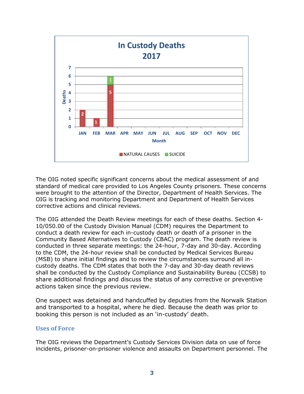

The OIG noted specific significant concerns about the medical assessment of and standard of medical care provided to Los Angeles County prisoners. These concerns were brought to the attention of the Director, Department of Health Services. The OIG is tracking and monitoring Department and Department of Health Services corrective actions and clinical reviews.

The OIG attended the Death Review meetings for each of these deaths. Section 4- 10/050.00 of the Custody Division Manual (CDM) requires the Department to conduct a death review for each in-custody death or death of a prisoner in the Community Based Alternatives to Custody (CBAC) program. The death review is conducted in three separate meetings: the 24-hour, 7-day and 30-day. According to the CDM, the 24-hour review shall be conducted by Medical Services Bureau (MSB) to share initial findings and to review the circumstances surround all incustody deaths. The CDM states that both the 7-day and 30-day death reviews shall be conducted by the Custody Compliance and Sustainability Bureau (CCSB) to share additional findings and discuss the status of any corrective or preventive actions taken since the previous review.

One suspect was detained and handcuffed by deputies from the Norwalk Station and transported to a hospital, where he died. Because the death was prior to booking this person is not included as an 'in-custody' death.

## **Uses of Force**

The OIG reviews the Department's Custody Services Division data on use of force incidents, prisoner-on-prisoner violence and assaults on Department personnel. The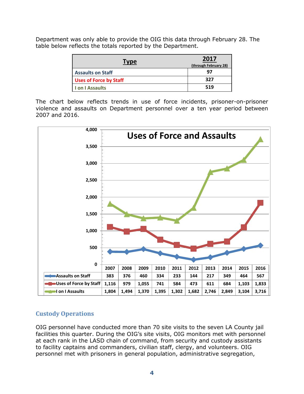Department was only able to provide the OIG this data through February 28. The table below reflects the totals reported by the Department.

| Type                          | 2017<br>(through February 28) |
|-------------------------------|-------------------------------|
| <b>Assaults on Staff</b>      | 97                            |
| <b>Uses of Force by Staff</b> | 327                           |
| I on I Assaults               | 519                           |

The chart below reflects trends in use of force incidents, prisoner-on-prisoner violence and assaults on Department personnel over a ten year period between 2007 and 2016.



# **Custody Operations**

OIG personnel have conducted more than 70 site visits to the seven LA County jail facilities this quarter. During the OIG's site visits, OIG monitors met with personnel at each rank in the LASD chain of command, from security and custody assistants to facility captains and commanders, civilian staff, clergy, and volunteers. OIG personnel met with prisoners in general population, administrative segregation,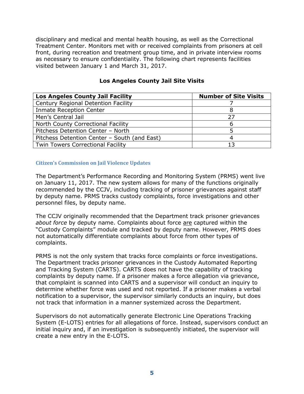disciplinary and medical and mental health housing, as well as the Correctional Treatment Center. Monitors met with or received complaints from prisoners at cell front, during recreation and treatment group time, and in private interview rooms as necessary to ensure confidentiality. The following chart represents facilities visited between January 1 and March 31, 2017.

| <b>Los Angeles County Jail Facility</b>      | <b>Number of Site Visits</b> |
|----------------------------------------------|------------------------------|
| Century Regional Detention Facility          |                              |
| <b>Inmate Reception Center</b>               |                              |
| Men's Central Jail                           | 27                           |
| North County Correctional Facility           |                              |
| Pitchess Detention Center - North            |                              |
| Pitchess Detention Center - South (and East) |                              |
| <b>Twin Towers Correctional Facility</b>     | 13                           |

## **Los Angeles County Jail Site Visits**

#### **Citizen's Commission on Jail Violence Updates**

The Department's Performance Recording and Monitoring System (PRMS) went live on January 11, 2017. The new system allows for many of the functions originally recommended by the CCJV, including tracking of prisoner grievances against staff by deputy name. PRMS tracks custody complaints, force investigations and other personnel files, by deputy name.

The CCJV originally recommended that the Department track prisoner grievances *about force* by deputy name. Complaints about force are captured within the "Custody Complaints" module and tracked by deputy name. However, PRMS does not automatically differentiate complaints about force from other types of complaints.

PRMS is not the only system that tracks force complaints or force investigations. The Department tracks prisoner grievances in the Custody Automated Reporting and Tracking System (CARTS). CARTS does not have the capability of tracking complaints by deputy name. If a prisoner makes a force allegation via grievance, that complaint is scanned into CARTS and a supervisor will conduct an inquiry to determine whether force was used and not reported. If a prisoner makes a verbal notification to a supervisor, the supervisor similarly conducts an inquiry, but does not track that information in a manner systemized across the Department.

Supervisors do not automatically generate Electronic Line Operations Tracking System (E-LOTS) entries for all allegations of force. Instead, supervisors conduct an initial inquiry and, if an investigation is subsequently initiated, the supervisor will create a new entry in the E-LOTS.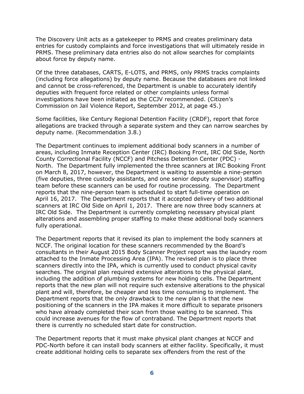The Discovery Unit acts as a gatekeeper to PRMS and creates preliminary data entries for custody complaints and force investigations that will ultimately reside in PRMS. These preliminary data entries also do not allow searches for complaints about force by deputy name.

Of the three databases, CARTS, E-LOTS, and PRMS, only PRMS tracks complaints (including force allegations) by deputy name. Because the databases are not linked and cannot be cross-referenced, the Department is unable to accurately identify deputies with frequent force related or other complaints unless formal investigations have been initiated as the CCJV recommended. (Citizen's Commission on Jail Violence Report, September 2012, at page 45.)

Some facilities, like Century Regional Detention Facility (CRDF), report that force allegations are tracked through a separate system and they can narrow searches by deputy name. (Recommendation 3.8.)

The Department continues to implement additional body scanners in a number of areas, including Inmate Reception Center (IRC) Booking Front, IRC Old Side, North County Correctional Facility (NCCF) and Pitchess Detention Center (PDC) - North. The Department fully implemented the three scanners at IRC Booking Front on March 8, 2017, however, the Department is waiting to assemble a nine-person (five deputies, three custody assistants, and one senior deputy supervisor) staffing team before these scanners can be used for routine processing. The Department reports that the nine-person team is scheduled to start full-time operation on April 16, 2017. The Department reports that it accepted delivery of two additional scanners at IRC Old Side on April 1, 2017. There are now three body scanners at IRC Old Side. The Department is currently completing necessary physical plant alterations and assembling proper staffing to make these additional body scanners fully operational.

The Department reports that it revised its plan to implement the body scanners at NCCF. The original location for these scanners recommended by the Board's consultants in their August 2015 Body Scanner Project report was the laundry room attached to the Inmate Processing Area (IPA). The revised plan is to place three scanners directly into the IPA, which is currently used to conduct physical cavity searches. The original plan required extensive alterations to the physical plant, including the addition of plumbing systems for new holding cells. The Department reports that the new plan will not require such extensive alterations to the physical plant and will, therefore, be cheaper and less time consuming to implement. The Department reports that the only drawback to the new plan is that the new positioning of the scanners in the IPA makes it more difficult to separate prisoners who have already completed their scan from those waiting to be scanned. This could increase avenues for the flow of contraband. The Department reports that there is currently no scheduled start date for construction.

The Department reports that it must make physical plant changes at NCCF and PDC-North before it can install body scanners at either facility. Specifically, it must create additional holding cells to separate sex offenders from the rest of the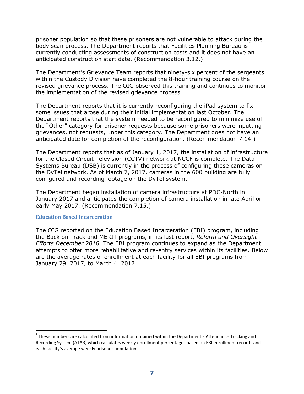prisoner population so that these prisoners are not vulnerable to attack during the body scan process. The Department reports that Facilities Planning Bureau is currently conducting assessments of construction costs and it does not have an anticipated construction start date. (Recommendation 3.12.)

The Department's Grievance Team reports that ninety-six percent of the sergeants within the Custody Division have completed the 8-hour training course on the revised grievance process. The OIG observed this training and continues to monitor the implementation of the revised grievance process.

The Department reports that it is currently reconfiguring the iPad system to fix some issues that arose during their initial implementation last October. The Department reports that the system needed to be reconfigured to minimize use of the "Other" category for prisoner requests because some prisoners were inputting grievances, not requests, under this category. The Department does not have an anticipated date for completion of the reconfiguration. (Recommendation 7.14.)

The Department reports that as of January 1, 2017, the installation of infrastructure for the Closed Circuit Television (CCTV) network at NCCF is complete. The Data Systems Bureau (DSB) is currently in the process of configuring these cameras on the DvTel network. As of March 7, 2017, cameras in the 600 building are fully configured and recording footage on the DvTel system.

The Department began installation of camera infrastructure at PDC-North in January 2017 and anticipates the completion of camera installation in late April or early May 2017. (Recommendation 7.15.)

#### **Education Based Incarceration**

-

The OIG reported on the Education Based Incarceration (EBI) program, including the Back on Track and MERIT programs, in its last report, *Reform and Oversight Efforts December 2016*. The EBI program continues to expand as the Department attempts to offer more rehabilitative and re-entry services within its facilities. Below are the average rates of enrollment at each facility for all EBI programs from January 29, 2017, to March 4, 2017.<sup>1</sup>

 $1$  These numbers are calculated from information obtained within the Department's Attendance Tracking and Recording System (ATAR) which calculates weekly enrollment percentages based on EBI enrollment records and each facility's average weekly prisoner population.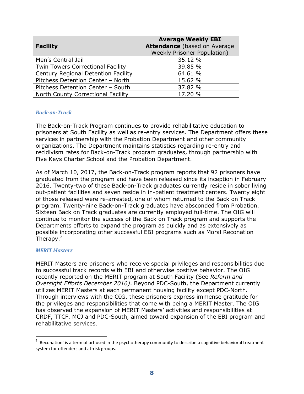| <b>Facility</b>                            | <b>Average Weekly EBI</b><br><b>Attendance (based on Average</b><br><b>Weekly Prisoner Population)</b> |
|--------------------------------------------|--------------------------------------------------------------------------------------------------------|
| Men's Central Jail                         | 35.12 %                                                                                                |
| <b>Twin Towers Correctional Facility</b>   | 39.85 %                                                                                                |
| <b>Century Regional Detention Facility</b> | 64.61 %                                                                                                |
| Pitchess Detention Center - North          | 15.62 %                                                                                                |
| Pitchess Detention Center - South          | 37.82 %                                                                                                |
| North County Correctional Facility         | 17.20 %                                                                                                |

#### *Back-on-Track*

The Back-on-Track Program continues to provide rehabilitative education to prisoners at South Facility as well as re-entry services. The Department offers these services in partnership with the Probation Department and other community organizations. The Department maintains statistics regarding re-entry and recidivism rates for Back-on-Track program graduates, through partnership with Five Keys Charter School and the Probation Department.

As of March 10, 2017, the Back-on-Track program reports that 92 prisoners have graduated from the program and have been released since its inception in February 2016. Twenty-two of these Back-on-Track graduates currently reside in sober living out-patient facilities and seven reside in in-patient treatment centers. Twenty eight of those released were re-arrested, one of whom returned to the Back on Track program. Twenty-nine Back-on-Track graduates have absconded from Probation. Sixteen Back on Track graduates are currently employed full-time. The OIG will continue to monitor the success of the Back on Track program and supports the Departments efforts to expand the program as quickly and as extensively as possible incorporating other successful EBI programs such as Moral Reconation Therapy.<sup>2</sup>

#### *MERIT Masters*

 $\overline{a}$ 

MERIT Masters are prisoners who receive special privileges and responsibilities due to successful track records with EBI and otherwise positive behavior. The OIG recently reported on the MERIT program at South Facility (See *Reform and Oversight Efforts December 2016)*. Beyond PDC-South, the Department currently utilizes MERIT Masters at each permanent housing facility except PDC-North. Through interviews with the OIG, these prisoners express immense gratitude for the privileges and responsibilities that come with being a MERIT Master. The OIG has observed the expansion of MERIT Masters' activities and responsibilities at CRDF, TTCF, MCJ and PDC-South, aimed toward expansion of the EBI program and rehabilitative services.

<sup>&</sup>lt;sup>2</sup> 'Reconation' is a term of art used in the psychotherapy community to describe a cognitive behavioral treatment system for offenders and at-risk groups.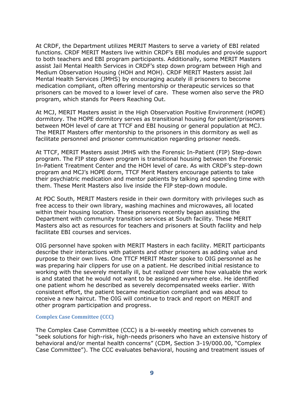At CRDF, the Department utilizes MERIT Masters to serve a variety of EBI related functions. CRDF MERIT Masters live within CRDF's EBI modules and provide support to both teachers and EBI program participants. Additionally, some MERIT Masters assist Jail Mental Health Services in CRDF's step down program between High and Medium Observation Housing (HOH and MOH). CRDF MERIT Masters assist Jail Mental Health Services (JMHS) by encouraging acutely ill prisoners to become medication compliant, often offering mentorship or therapeutic services so that prisoners can be moved to a lower level of care. These women also serve the PRO program, which stands for Peers Reaching Out.

At MCJ, MERIT Masters assist in the High Observation Positive Environment (HOPE) dormitory. The HOPE dormitory serves as transitional housing for patient/prisoners between MOH level of care at TTCF and EBI housing or general population at MCJ. The MERIT Masters offer mentorship to the prisoners in this dormitory as well as facilitate personnel and prisoner communication regarding prisoner needs.

At TTCF, MERIT Masters assist JMHS with the Forensic In-Patient (FIP) Step-down program. The FIP step down program is transitional housing between the Forensic In-Patient Treatment Center and the HOH level of care. As with CRDF's step-down program and MCJ's HOPE dorm, TTCF Merit Masters encourage patients to take their psychiatric medication and mentor patients by talking and spending time with them. These Merit Masters also live inside the FIP step-down module.

At PDC South, MERIT Masters reside in their own dormitory with privileges such as free access to their own library, washing machines and microwaves, all located within their housing location. These prisoners recently began assisting the Department with community transition services at South facility. These MERIT Masters also act as resources for teachers and prisoners at South facility and help facilitate EBI courses and services.

OIG personnel have spoken with MERIT Masters in each facility. MERIT participants describe their interactions with patients and other prisoners as adding value and purpose to their own lives. One TTCF MERIT Master spoke to OIG personnel as he was preparing hair clippers for use on a patient. He described initial resistance to working with the severely mentally ill, but realized over time how valuable the work is and stated that he would not want to be assigned anywhere else. He identified one patient whom he described as severely decompensated weeks earlier. With consistent effort, the patient became medication compliant and was about to receive a new haircut. The OIG will continue to track and report on MERIT and other program participation and progress.

#### **Complex Case Committee (CCC)**

The Complex Case Committee (CCC) is a bi-weekly meeting which convenes to "seek solutions for high-risk, high-needs prisoners who have an extensive history of behavioral and/or mental health concerns" (CDM, Section 3-19/000.00, "Complex Case Committee"). The CCC evaluates behavioral, housing and treatment issues of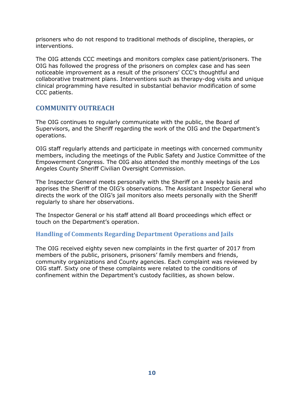prisoners who do not respond to traditional methods of discipline, therapies, or interventions.

The OIG attends CCC meetings and monitors complex case patient/prisoners. The OIG has followed the progress of the prisoners on complex case and has seen noticeable improvement as a result of the prisoners' CCC's thoughtful and collaborative treatment plans. Interventions such as therapy-dog visits and unique clinical programming have resulted in substantial behavior modification of some CCC patients.

# **COMMUNITY OUTREACH**

The OIG continues to regularly communicate with the public, the Board of Supervisors, and the Sheriff regarding the work of the OIG and the Department's operations.

OIG staff regularly attends and participate in meetings with concerned community members, including the meetings of the Public Safety and Justice Committee of the Empowerment Congress. The OIG also attended the monthly meetings of the Los Angeles County Sheriff Civilian Oversight Commission.

The Inspector General meets personally with the Sheriff on a weekly basis and apprises the Sheriff of the OIG's observations. The Assistant Inspector General who directs the work of the OIG's jail monitors also meets personally with the Sheriff regularly to share her observations.

The Inspector General or his staff attend all Board proceedings which effect or touch on the Department's operation.

# **Handling of Comments Regarding Department Operations and Jails**

The OIG received eighty seven new complaints in the first quarter of 2017 from members of the public, prisoners, prisoners' family members and friends, community organizations and County agencies. Each complaint was reviewed by OIG staff. Sixty one of these complaints were related to the conditions of confinement within the Department's custody facilities, as shown below.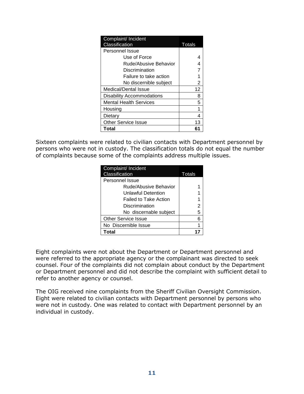| Complaint/ Incident        |        |
|----------------------------|--------|
| Classification             | Totals |
| Personnel Issue            |        |
| Use of Force               |        |
| Rude/Abusive Behavior      |        |
| Discrimination             |        |
| Failure to take action     |        |
| No discernible subject     | 2      |
| Medical/Dental Issue       | 12     |
| Disability Accommodations  | 8      |
| Mental Health Services     | 5      |
| Housing                    |        |
| Dietary                    |        |
| <b>Other Service Issue</b> | 13     |
| Total                      | 61     |

Sixteen complaints were related to civilian contacts with Department personnel by persons who were not in custody. The classification totals do not equal the number of complaints because some of the complaints address multiple issues.

| Complaint/ Incident<br>Classification | Totals |
|---------------------------------------|--------|
| Personnel Issue                       |        |
| Rude/Abusive Behavior                 |        |
| Unlawful Detention                    |        |
| <b>Failed to Take Action</b>          |        |
| Discrimination                        | 2      |
| No discernable subject                | 5      |
| <b>Other Service Issue</b>            | 6      |
| No Discernible Issue                  |        |
| Total                                 |        |

Eight complaints were not about the Department or Department personnel and were referred to the appropriate agency or the complainant was directed to seek counsel. Four of the complaints did not complain about conduct by the Department or Department personnel and did not describe the complaint with sufficient detail to refer to another agency or counsel.

The OIG received nine complaints from the Sheriff Civilian Oversight Commission. Eight were related to civilian contacts with Department personnel by persons who were not in custody. One was related to contact with Department personnel by an individual in custody.